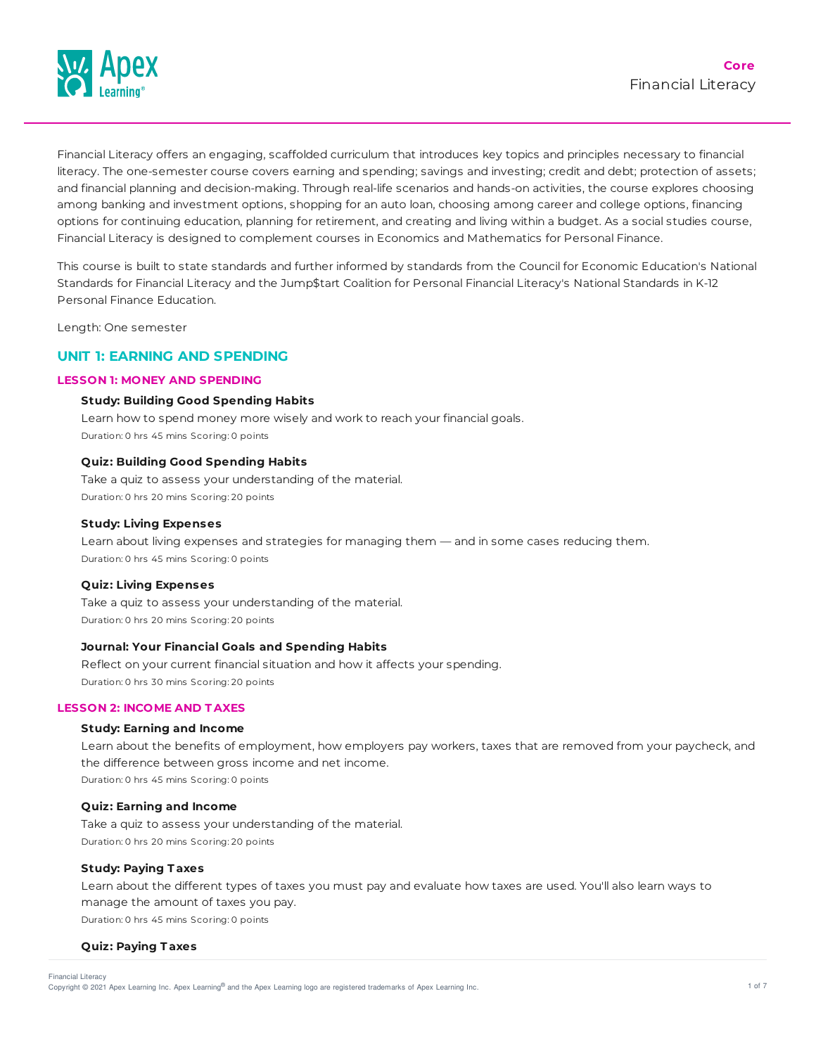

Financial Literacy offers an engaging, scaffolded curriculum that introduces key topics and principles necessary to financial literacy. The one-semester course covers earning and spending; savings and investing; credit and debt; protection of assets; and financial planning and decision-making. Through real-life scenarios and hands-on activities, the course explores choosing among banking and investment options, shopping for an auto loan, choosing among career and college options, financing options for continuing education, planning for retirement, and creating and living within a budget. As a social studies course, Financial Literacy is designed to complement courses in Economics and Mathematics for Personal Finance.

This course is built to state standards and further informed by standards from the Council for Economic Education's National Standards for Financial Literacy and the Jump\$tart Coalition for Personal Financial Literacy's National Standards in K-12 Personal Finance Education.

Length: One semester

# **UNIT 1: EARNING AND SPENDING**

# **LESSON 1: MONEY AND SPENDING**

#### **Study: Building Good Spending Habits**

Learn how to spend money more wisely and work to reach your financial goals. Duration: 0 hrs 45 mins Scoring: 0 points

### **Quiz: Building Good Spending Habits**

Take a quiz to assess your understanding of the material. Duration: 0 hrs 20 mins Scoring: 20 points

#### **Study: Living Expenses**

Learn about living expenses and strategies for managing them — and in some cases reducing them. Duration: 0 hrs 45 mins Scoring: 0 points

#### **Quiz: Living Expenses**

Take a quiz to assess your understanding of the material. Duration: 0 hrs 20 mins Scoring: 20 points

### **Journal: Your Financial Goals and Spending Habits**

Reflect on your current financial situation and how it affects your spending. Duration: 0 hrs 30 mins Scoring: 20 points

### **LESSON 2: INCOME AND T AXES**

#### **Study: Earning and Income**

Learn about the benefits of employment, how employers pay workers, taxes that are removed from your paycheck, and the difference between gross income and net income. Duration: 0 hrs 45 mins Scoring: 0 points

# **Quiz: Earning and Income**

Take a quiz to assess your understanding of the material. Duration: 0 hrs 20 mins Scoring: 20 points

#### **Study: Paying T axes**

Learn about the different types of taxes you must pay and evaluate how taxes are used. You'll also learn ways to manage the amount of taxes you pay. Duration: 0 hrs 45 mins Scoring: 0 points

**Quiz: Paying T axes**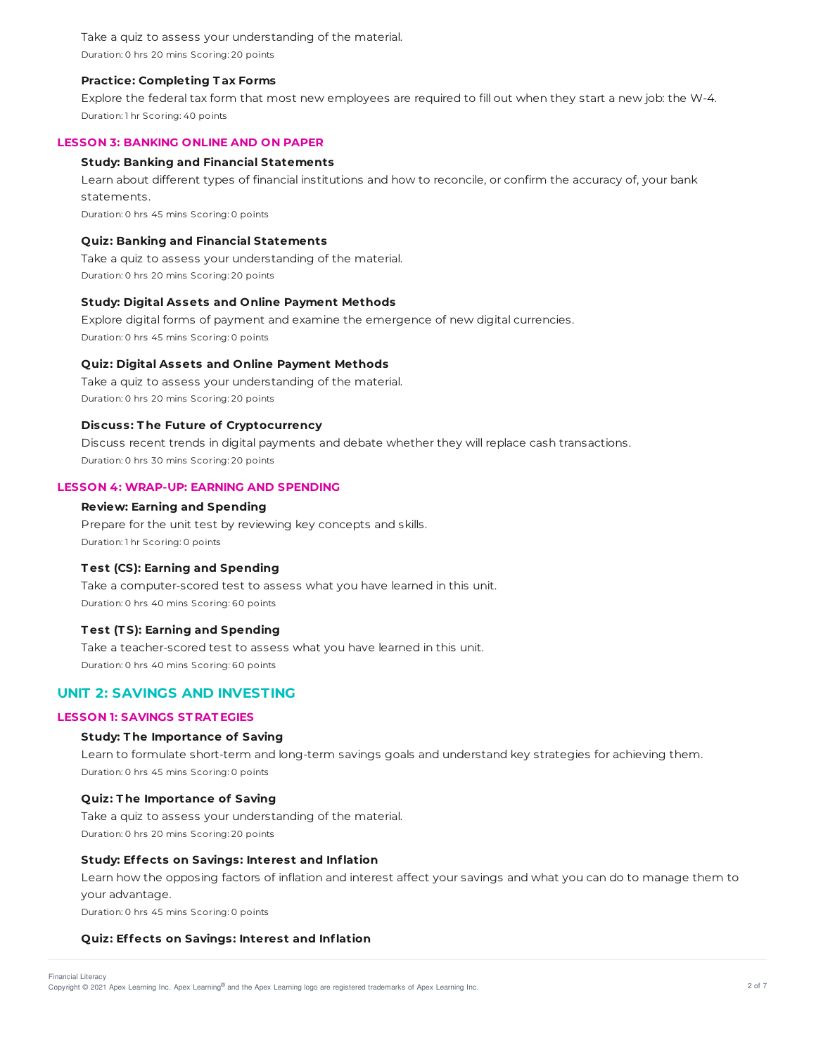Take a quiz to assess your understanding of the material. Duration: 0 hrs 20 mins Scoring: 20 points

### **Practice: Completing T ax Forms**

Explore the federal tax form that most new employees are required to fill out when they start a new job: the W-4. Duration: 1 hr Scoring: 40 points

### **LESSON 3: BANKING ONLINE AND ON PAPER**

### **Study: Banking and Financial Statements**

Learn about different types of financial institutions and how to reconcile, or confirm the accuracy of, your bank statements.

Duration: 0 hrs 45 mins Scoring: 0 points

### **Quiz: Banking and Financial Statements**

Take a quiz to assess your understanding of the material. Duration: 0 hrs 20 mins Scoring: 20 points

### **Study: Digital Assets and Online Payment Methods**

Explore digital forms of payment and examine the emergence of new digital currencies. Duration: 0 hrs 45 mins Scoring: 0 points

### **Quiz: Digital Assets and Online Payment Methods**

Take a quiz to assess your understanding of the material. Duration: 0 hrs 20 mins Scoring: 20 points

# **Discuss: T he Future of Cryptocurrency**

Discuss recent trends in digital payments and debate whether they will replace cash transactions. Duration: 0 hrs 30 mins Scoring: 20 points

# **LESSON 4: WRAP-UP: EARNING AND SPENDING**

# **Review: Earning and Spending**

Prepare for the unit test by reviewing key concepts and skills. Duration: 1 hr Scoring: 0 points

### **T est (CS): Earning and Spending**

Take a computer-scored test to assess what you have learned in this unit. Duration: 0 hrs 40 mins Scoring: 60 points

# **T est (T S): Earning and Spending**

Take a teacher-scored test to assess what you have learned in this unit. Duration: 0 hrs 40 mins Scoring: 60 points

# **UNIT 2: SAVINGS AND INVESTING**

# **LESSON 1: SAVINGS ST RAT EGIES**

### **Study: T he Importance of Saving**

Learn to formulate short-term and long-term savings goals and understand key strategies for achieving them. Duration: 0 hrs 45 mins Scoring: 0 points

### **Quiz: T he Importance of Saving**

Take a quiz to assess your understanding of the material. Duration: 0 hrs 20 mins Scoring: 20 points

### **Study: Effects on Savings: Interest and Inflation**

Learn how the opposing factors of inflation and interest affect your savings and what you can do to manage them to your advantage.

Duration: 0 hrs 45 mins Scoring: 0 points

# **Quiz: Effects on Savings: Interest and Inflation**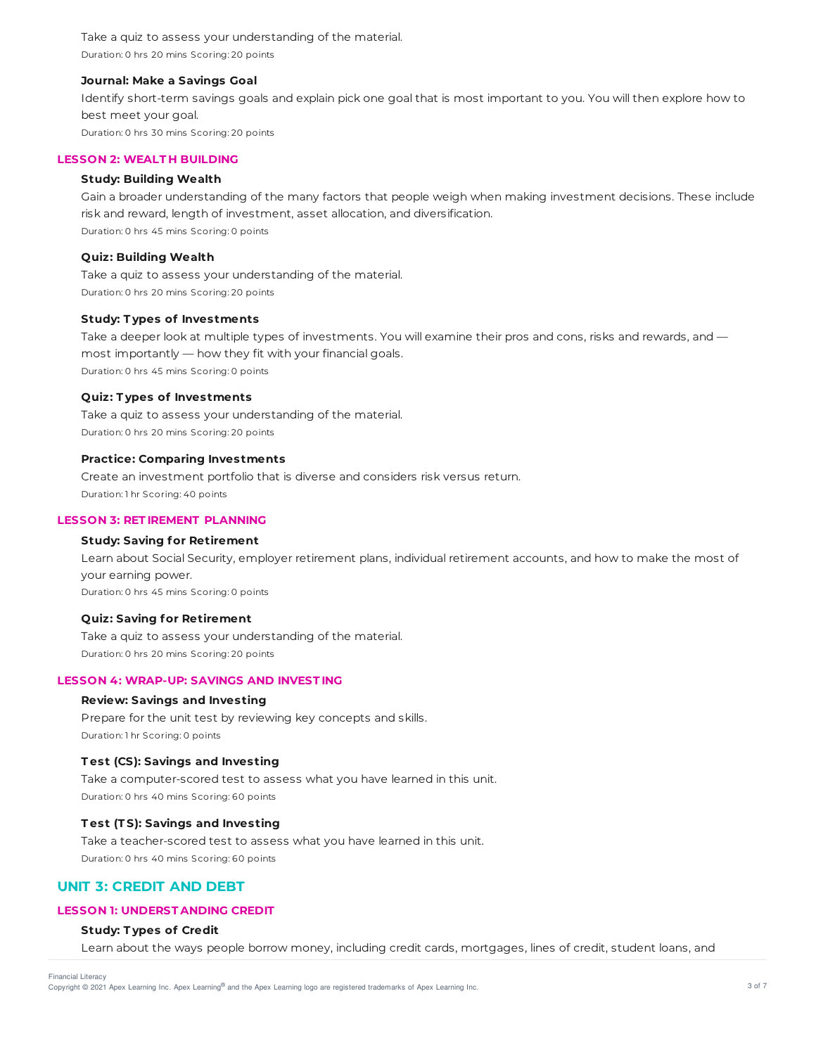Take a quiz to assess your understanding of the material. Duration: 0 hrs 20 mins Scoring: 20 points

### **Journal: Make a Savings Goal**

Identify short-term savings goals and explain pick one goal that is most important to you. You will then explore how to best meet your goal. Duration: 0 hrs 30 mins Scoring: 20 points

### **LESSON 2: WEALT H BUILDING**

#### **Study: Building Wealth**

Gain a broader understanding of the many factors that people weigh when making investment decisions. These include risk and reward, length of investment, asset allocation, and diversification. Duration: 0 hrs 45 mins Scoring: 0 points

### **Quiz: Building Wealth**

Take a quiz to assess your understanding of the material. Duration: 0 hrs 20 mins Scoring: 20 points

#### **Study: T ypes of Investments**

Take a deeper look at multiple types of investments. You will examine their pros and cons, risks and rewards, and most importantly — how they fit with your financial goals. Duration: 0 hrs 45 mins Scoring: 0 points

### **Quiz: T ypes of Investments**

Take a quiz to assess your understanding of the material. Duration: 0 hrs 20 mins Scoring: 20 points

#### **Practice: Comparing Investments**

Create an investment portfolio that is diverse and considers risk versus return. Duration: 1 hr Scoring: 40 points

### **LESSON 3: RET IREMENT PLANNING**

## **Study: Saving for Retirement**

Learn about Social Security, employer retirement plans, individual retirement accounts, and how to make the most of your earning power. Duration: 0 hrs 45 mins Scoring: 0 points

#### **Quiz: Saving for Retirement**

Take a quiz to assess your understanding of the material. Duration: 0 hrs 20 mins Scoring: 20 points

# **LESSON 4: WRAP-UP: SAVINGS AND INVEST ING**

### **Review: Savings and Investing**

Prepare for the unit test by reviewing key concepts and skills. Duration: 1 hr Scoring: 0 points

#### **T est (CS): Savings and Investing**

Take a computer-scored test to assess what you have learned in this unit. Duration: 0 hrs 40 mins Scoring: 60 points

### **T est (T S): Savings and Investing**

Take a teacher-scored test to assess what you have learned in this unit. Duration: 0 hrs 40 mins Scoring: 60 points

# **UNIT 3: CREDIT AND DEBT**

# **LESSON 1: UNDERST ANDING CREDIT**

### **Study: T ypes of Credit**

Learn about the ways people borrow money, including credit cards, mortgages, lines of credit, student loans, and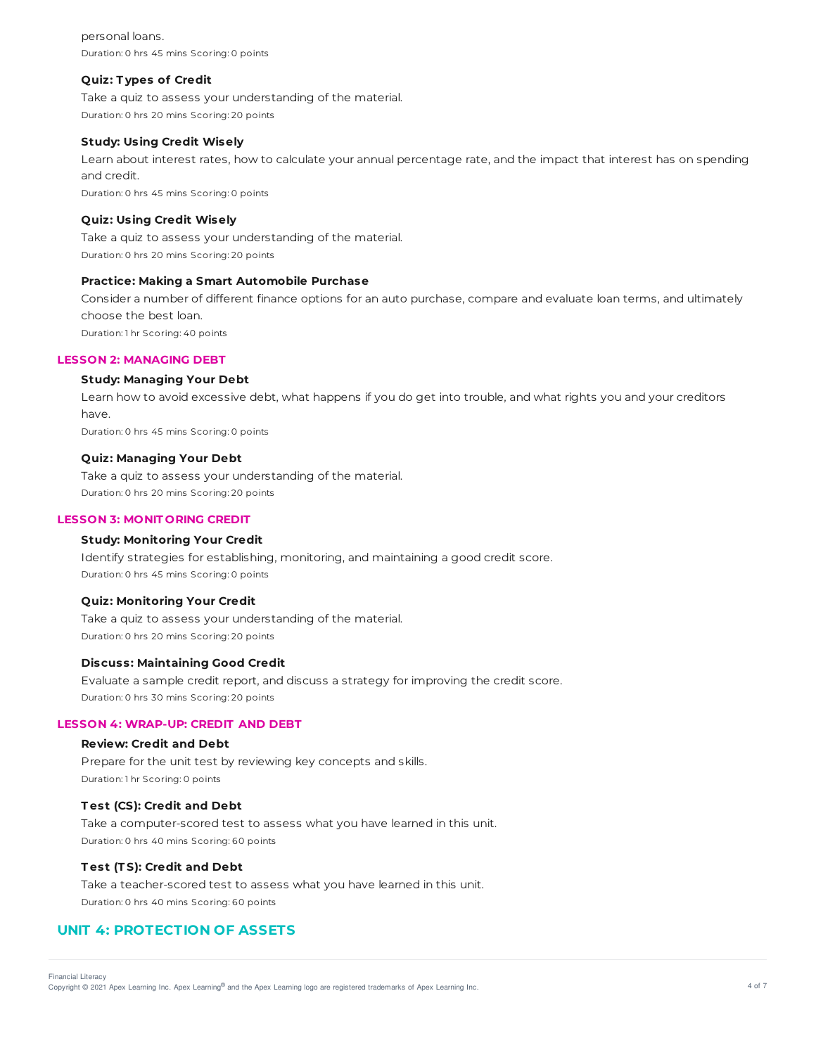personal loans. Duration: 0 hrs 45 mins Scoring: 0 points

#### **Quiz: T ypes of Credit**

Take a quiz to assess your understanding of the material. Duration: 0 hrs 20 mins Scoring: 20 points

### **Study: Using Credit Wisely**

Learn about interest rates, how to calculate your annual percentage rate, and the impact that interest has on spending and credit. Duration: 0 hrs 45 mins Scoring: 0 points

# **Quiz: Using Credit Wisely**

Take a quiz to assess your understanding of the material. Duration: 0 hrs 20 mins Scoring: 20 points

### **Practice: Making a Smart Automobile Purchase**

Consider a number of different finance options for an auto purchase, compare and evaluate loan terms, and ultimately choose the best loan.

Duration: 1 hr Scoring: 40 points

### **LESSON 2: MANAGING DEBT**

### **Study: Managing Your Debt**

Learn how to avoid excessive debt, what happens if you do get into trouble, and what rights you and your creditors have. Duration: 0 hrs 45 mins Scoring: 0 points

#### **Quiz: Managing Your Debt**

Take a quiz to assess your understanding of the material. Duration: 0 hrs 20 mins Scoring: 20 points

### **LESSON 3: MONIT ORING CREDIT**

### **Study: Monitoring Your Credit**

Identify strategies for establishing, monitoring, and maintaining a good credit score. Duration: 0 hrs 45 mins Scoring: 0 points

### **Quiz: Monitoring Your Credit**

Take a quiz to assess your understanding of the material. Duration: 0 hrs 20 mins Scoring: 20 points

# **Discuss: Maintaining Good Credit**

Evaluate a sample credit report, and discuss a strategy for improving the credit score. Duration: 0 hrs 30 mins Scoring: 20 points

### **LESSON 4: WRAP-UP: CREDIT AND DEBT**

### **Review: Credit and Debt**

Prepare for the unit test by reviewing key concepts and skills. Duration: 1 hr Scoring: 0 points

# **T est (CS): Credit and Debt**

Take a computer-scored test to assess what you have learned in this unit. Duration: 0 hrs 40 mins Scoring: 60 points

#### **T est (T S): Credit and Debt**

Take a teacher-scored test to assess what you have learned in this unit. Duration: 0 hrs 40 mins Scoring: 60 points

# **UNIT 4: PROTECTION OF ASSETS**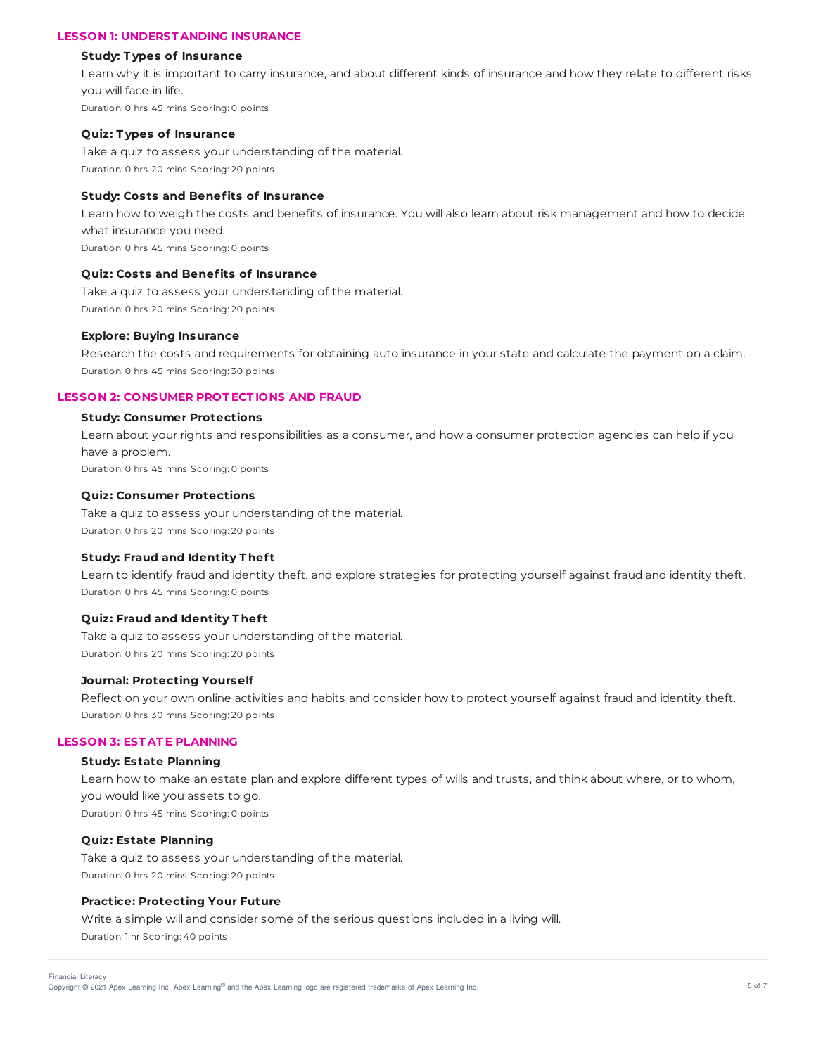# **LESSON 1: UNDERST ANDING INSURANCE**

#### **Study: T ypes of Insurance**

Learn why it is important to carry insurance, and about different kinds of insurance and how they relate to different risks you will face in life. Duration: 0 hrs 45 mins Scoring: 0 points

### **Quiz: T ypes of Insurance**

Take a quiz to assess your understanding of the material. Duration: 0 hrs 20 mins Scoring: 20 points

# **Study: Costs and Benefits of Insurance**

Learn how to weigh the costs and benefits of insurance. You will also learn about risk management and how to decide what insurance you need. Duration: 0 hrs 45 mins Scoring: 0 points

### **Quiz: Costs and Benefits of Insurance**

Take a quiz to assess your understanding of the material. Duration: 0 hrs 20 mins Scoring: 20 points

### **Explore: Buying Insurance**

Research the costs and requirements for obtaining auto insurance in your state and calculate the payment on a claim. Duration: 0 hrs 45 mins Scoring: 30 points

### **LESSON 2: CONSUMER PROT ECT IONS AND FRAUD**

## **Study: Consumer Protections**

Learn about your rights and responsibilities as a consumer, and how a consumer protection agencies can help if you have a problem. Duration: 0 hrs 45 mins Scoring: 0 points

#### **Quiz: Consumer Protections**

Take a quiz to assess your understanding of the material. Duration: 0 hrs 20 mins Scoring: 20 points

#### **Study: Fraud and Identity T hef t**

Learn to identify fraud and identity theft, and explore strategies for protecting yourself against fraud and identity theft. Duration: 0 hrs 45 mins Scoring: 0 points

#### **Quiz: Fraud and Identity T hef t**

Take a quiz to assess your understanding of the material. Duration: 0 hrs 20 mins Scoring: 20 points

### **Journal: Protecting Yourself**

Reflect on your own online activities and habits and consider how to protect yourself against fraud and identity theft. Duration: 0 hrs 30 mins Scoring: 20 points

### **LESSON 3: EST AT E PLANNING**

### **Study: Estate Planning**

Learn how to make an estate plan and explore different types of wills and trusts, and think about where, or to whom, you would like you assets to go. Duration: 0 hrs 45 mins Scoring: 0 points

### **Quiz: Estate Planning**

Take a quiz to assess your understanding of the material. Duration: 0 hrs 20 mins Scoring: 20 points

### **Practice: Protecting Your Future**

Write a simple will and consider some of the serious questions included in a living will. Duration: 1 hr Scoring: 40 points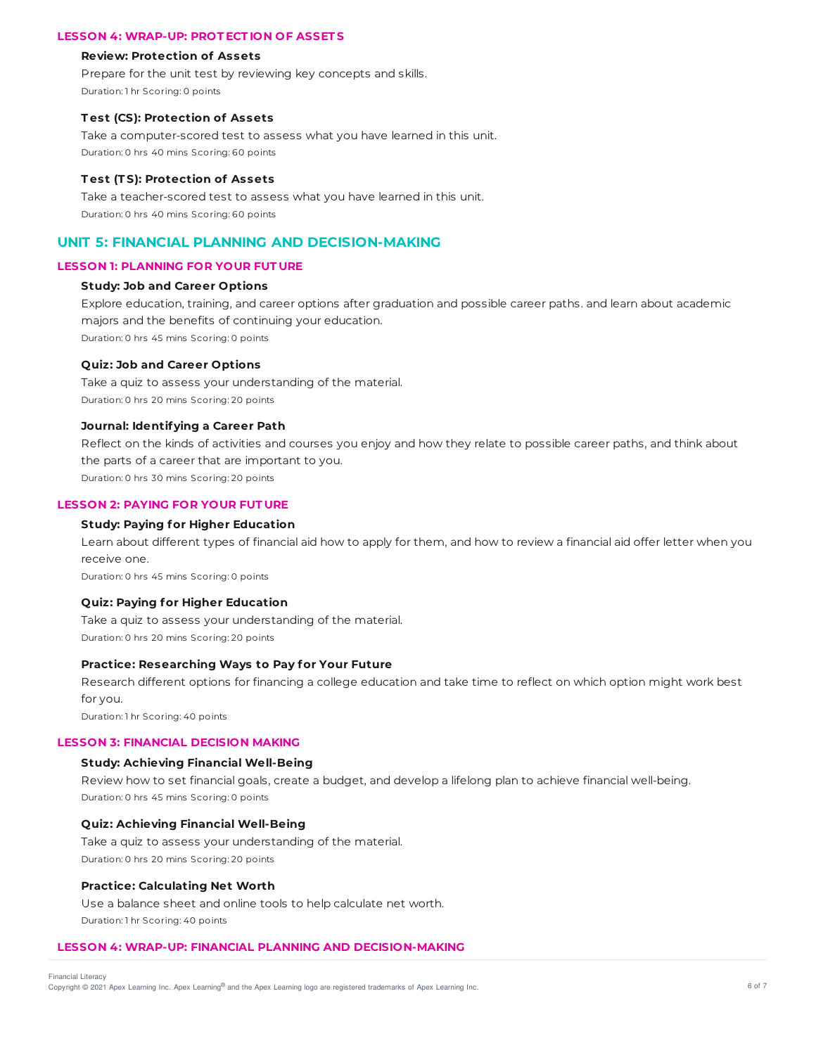### **LESSON 4: WRAP-UP: PROT ECT ION OF ASSET S**

#### **Review: Protection of Assets**

Prepare for the unit test by reviewing key concepts and skills. Duration: 1 hr Scoring: 0 points

### **T est (CS): Protection of Assets**

Take a computer-scored test to assess what you have learned in this unit. Duration: 0 hrs 40 mins Scoring: 60 points

#### **T est (T S): Protection of Assets**

Take a teacher-scored test to assess what you have learned in this unit. Duration: 0 hrs 40 mins Scoring: 60 points

# **UNIT 5: FINANCIAL PLANNING AND DECISION-MAKING**

# **LESSON 1: PLANNING FOR YOUR FUT URE**

### **Study: Job and Career Options**

Explore education, training, and career options after graduation and possible career paths. and learn about academic majors and the benefits of continuing your education. Duration: 0 hrs 45 mins Scoring: 0 points

### **Quiz: Job and Career Options**

Take a quiz to assess your understanding of the material. Duration: 0 hrs 20 mins Scoring: 20 points

### **Journal: Identifying a Career Path**

Reflect on the kinds of activities and courses you enjoy and how they relate to possible career paths, and think about the parts of a career that are important to you.

Duration: 0 hrs 30 mins Scoring: 20 points

# **LESSON 2: PAYING FOR YOUR FUT URE**

## **Study: Paying for Higher Education**

Learn about different types of financial aid how to apply for them, and how to review a financial aid offer letter when you receive one.

Duration: 0 hrs 45 mins Scoring: 0 points

### **Quiz: Paying for Higher Education**

Take a quiz to assess your understanding of the material. Duration: 0 hrs 20 mins Scoring: 20 points

### **Practice: Researching Ways to Pay for Your Future**

Research different options for financing a college education and take time to reflect on which option might work best for you.

Duration: 1 hr Scoring: 40 points

### **LESSON 3: FINANCIAL DECISION MAKING**

### **Study: Achieving Financial Well-Being**

Review how to set financial goals, create a budget, and develop a lifelong plan to achieve financial well-being. Duration: 0 hrs 45 mins Scoring: 0 points

### **Quiz: Achieving Financial Well-Being**

Take a quiz to assess your understanding of the material. Duration: 0 hrs 20 mins Scoring: 20 points

### **Practice: Calculating Net Worth**

Use a balance sheet and online tools to help calculate net worth. Duration: 1 hr Scoring: 40 points

### **LESSON 4: WRAP-UP: FINANCIAL PLANNING AND DECISION-MAKING**